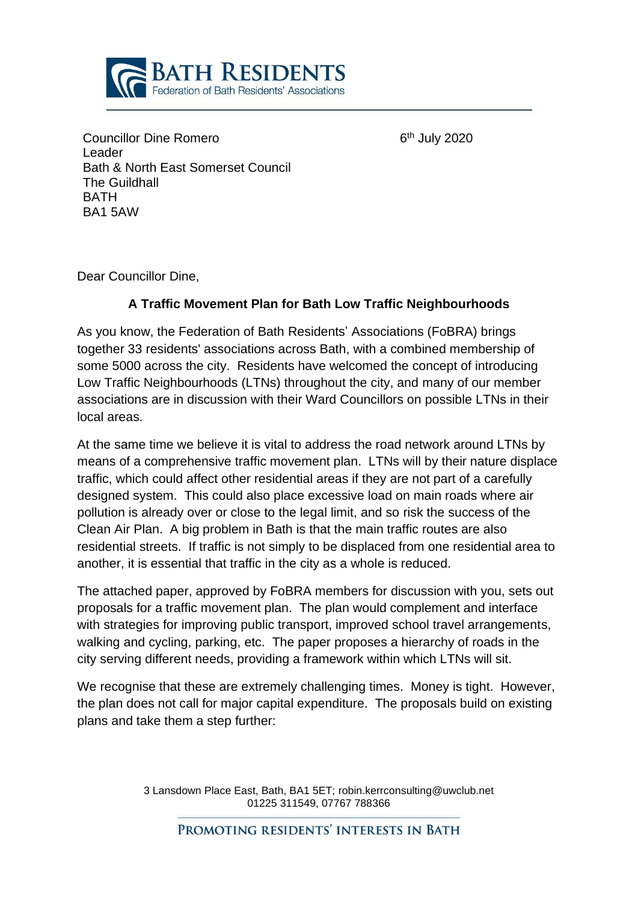

 $6<sup>th</sup>$  July 2020

Councillor Dine Romero Leader Bath & North East Somerset Council The Guildhall **BATH** BA1 5AW

Dear Councillor Dine,

## **A Traffic Movement Plan for Bath Low Traffic Neighbourhoods**

As you know, the Federation of Bath Residents' Associations (FoBRA) brings together 33 residents' associations across Bath, with a combined membership of some 5000 across the city. Residents have welcomed the concept of introducing Low Traffic Neighbourhoods (LTNs) throughout the city, and many of our member associations are in discussion with their Ward Councillors on possible LTNs in their local areas.

At the same time we believe it is vital to address the road network around LTNs by means of a comprehensive traffic movement plan. LTNs will by their nature displace traffic, which could affect other residential areas if they are not part of a carefully designed system. This could also place excessive load on main roads where air pollution is already over or close to the legal limit, and so risk the success of the Clean Air Plan. A big problem in Bath is that the main traffic routes are also residential streets. If traffic is not simply to be displaced from one residential area to another, it is essential that traffic in the city as a whole is reduced.

The attached paper, approved by FoBRA members for discussion with you, sets out proposals for a traffic movement plan. The plan would complement and interface with strategies for improving public transport, improved school travel arrangements, walking and cycling, parking, etc. The paper proposes a hierarchy of roads in the city serving different needs, providing a framework within which LTNs will sit.

We recognise that these are extremely challenging times. Money is tight. However, the plan does not call for major capital expenditure. The proposals build on existing plans and take them a step further:

> 3 Lansdown Place East, Bath, BA1 5ET; robin.kerrconsulting@uwclub.net 01225 311549, 07767 788366